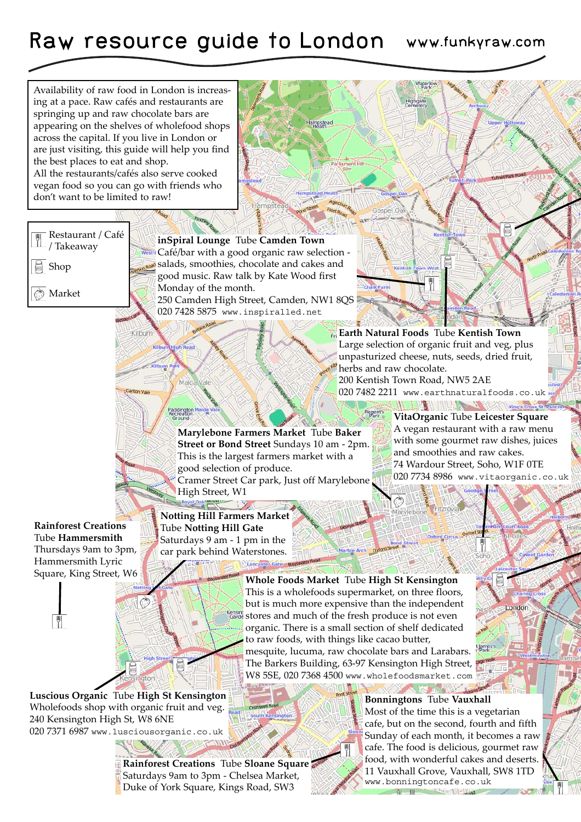## Raw resource guide to London www.funkyraw.com

**lampstead** 

Availability of raw food in London is increasing at a pace. Raw cafés and restaurants are springing up and raw chocolate bars are appearing on the shelves of wholefood shops across the capital. If you live in London or are just visiting, this guide will help you find the best places to eat and shop. All the restaurants/cafés also serve cooked vegan food so you can go with friends who don't want to be limited to raw!

Kilbrin

Paddington<br>Recreation

Restaurant / Café / Takeaway

Shop

Market

**inSpiral Lounge** Tube **Camden Town** Café/bar with a good organic raw selection salads, smoothies, chocolate and cakes and good music. Raw talk by Kate Wood first Monday of the month. 250 Camden High Street, Camden, NW1 8QS 020 7428 5875 www.inspiralled.net

**Earth Natural Foods** Tube **Kentish Town** Large selection of organic fruit and veg, plus unpasturized cheese, nuts, seeds, dried fruit, herbs and raw chocolate.

Waterk Highgate

Gospel C

200 Kentish Town Road, NW5 2AE 020 7482 2211 www.earthnaturalfoods.co.uk

**WEBSTART** 

**Marylebone Farmers Market** Tube **Baker Street or Bond Street** Sundays 10 am - 2pm. This is the largest farmers market with a good selection of produce. Cramer Street Car park, Just off Marylebone High Street, W1

unii Road

**VitaOrganic** Tube **Leicester Square** A vegan restaurant with a raw menu with some gourmet raw dishes, juices and smoothies and raw cakes. 74 Wardour Street, Soho, W1F 0TE 020 7734 8986 www.vitaorganic.co.uk

King's C

**Rainforest Creations** Tube **Hammersmith** Thursdays 9am to 3pm, Hammersmith Lyric Square, King Street, W6

**Notting Hill Farmers Market** Tube **Notting Hill Gate** Saturdays 9 am - 1 pm in the car park behind Waterstones.

> **Whole Foods Market** Tube **High St Kensington** This is a wholefoods supermarket, on three floors, but is much more expensive than the independent Kensing stores and much of the fresh produce is not even organic. There is a small section of shelf dedicated to raw foods, with things like cacao butter,

mesquite, lucuma, raw chocolate bars and Larabars. The Barkers Building, 63-97 Kensington High Street, W8 5SE, 020 7368 4500 www.wholefoodsmarket.com

**Luscious Organic** Tube **High St Kensington** Wholefoods shop with organic fruit and veg. 240 Kensington High St, W8 6NE 020 7371 6987 www.lusciousorganic.co.uk

> **Rainforest Creations** Tube **Sloane Square** Saturdays 9am to 3pm - Chelsea Market, Duke of York Square, Kings Road, SW3

**Bonningtons** Tube **Vauxhall** Most of the time this is a vegetarian cafe, but on the second, fourth and fifth Sunday of each month, it becomes a raw cafe. The food is delicious, gourmet raw food, with wonderful cakes and deserts. 11 Vauxhall Grove, Vauxhall, SW8 1TD www.bonningtoncafe.co.uk  $n - n -$ **DELL'ALLE**